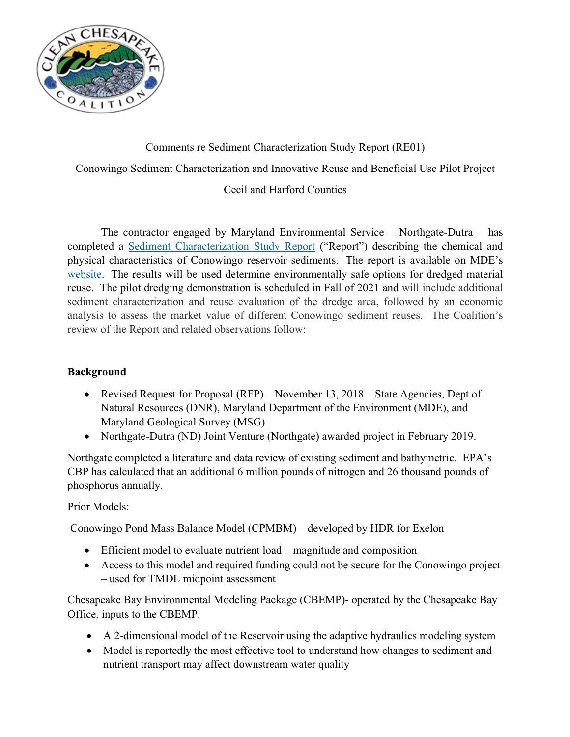

## Comments re Sediment Characterization Study Report (RE01) Conowingo Sediment Characterization and Innovative Reuse and Beneficial Use Pilot Project Cecil and Harford Counties

The contractor engaged by Maryland Environmental Service – Northgate-Dutra – has completed a Sediment Characterization Study Report ("Report") describing the chemical and physical characteristics of Conowingo reservoir sediments. The report is available on MDE's website. The results will be used determine environmentally safe options for dredged material reuse. The pilot dredging demonstration is scheduled in Fall of 2021 and will include additional sediment characterization and reuse evaluation of the dredge area, followed by an economic analysis to assess the market value of different Conowingo sediment reuses. The Coalition's review of the Report and related observations follow:

## **Background**

- Revised Request for Proposal (RFP) November 13, 2018 State Agencies, Dept of Natural Resources (DNR), Maryland Department of the Environment (MDE), and Maryland Geological Survey (MSG)
- Northgate-Dutra (ND) Joint Venture (Northgate) awarded project in February 2019.

Northgate completed a literature and data review of existing sediment and bathymetric. EPA's CBP has calculated that an additional 6 million pounds of nitrogen and 26 thousand pounds of phosphorus annually.

Prior Models:

Conowingo Pond Mass Balance Model (CPMBM) – developed by HDR for Exelon

- Efficient model to evaluate nutrient load magnitude and composition
- Access to this model and required funding could not be secure for the Conowingo project – used for TMDL midpoint assessment

Chesapeake Bay Environmental Modeling Package (CBEMP)- operated by the Chesapeake Bay Office, inputs to the CBEMP.

- A 2-dimensional model of the Reservoir using the adaptive hydraulics modeling system
- Model is reportedly the most effective tool to understand how changes to sediment and nutrient transport may affect downstream water quality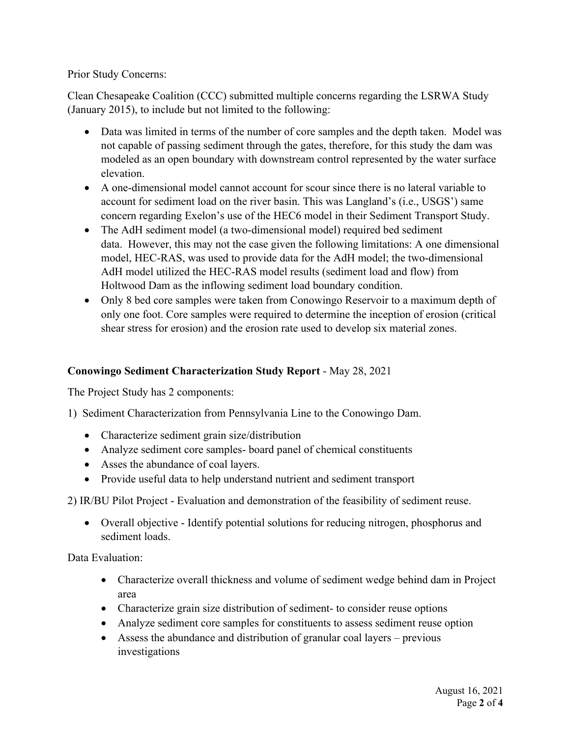Prior Study Concerns:

Clean Chesapeake Coalition (CCC) submitted multiple concerns regarding the LSRWA Study (January 2015), to include but not limited to the following:

- Data was limited in terms of the number of core samples and the depth taken. Model was not capable of passing sediment through the gates, therefore, for this study the dam was modeled as an open boundary with downstream control represented by the water surface elevation.
- A one-dimensional model cannot account for scour since there is no lateral variable to account for sediment load on the river basin. This was Langland's (i.e., USGS') same concern regarding Exelon's use of the HEC6 model in their Sediment Transport Study.
- The AdH sediment model (a two-dimensional model) required bed sediment data. However, this may not the case given the following limitations: A one dimensional model, HEC-RAS, was used to provide data for the AdH model; the two-dimensional AdH model utilized the HEC-RAS model results (sediment load and flow) from Holtwood Dam as the inflowing sediment load boundary condition.
- Only 8 bed core samples were taken from Conowingo Reservoir to a maximum depth of only one foot. Core samples were required to determine the inception of erosion (critical shear stress for erosion) and the erosion rate used to develop six material zones.

## **Conowingo Sediment Characterization Study Report** - May 28, 2021

The Project Study has 2 components:

- 1) Sediment Characterization from Pennsylvania Line to the Conowingo Dam.
	- Characterize sediment grain size/distribution
	- Analyze sediment core samples- board panel of chemical constituents
	- Asses the abundance of coal layers.
	- Provide useful data to help understand nutrient and sediment transport

2) IR/BU Pilot Project - Evaluation and demonstration of the feasibility of sediment reuse.

• Overall objective - Identify potential solutions for reducing nitrogen, phosphorus and sediment loads.

Data Evaluation:

- Characterize overall thickness and volume of sediment wedge behind dam in Project area
- Characterize grain size distribution of sediment- to consider reuse options
- Analyze sediment core samples for constituents to assess sediment reuse option
- Assess the abundance and distribution of granular coal layers previous investigations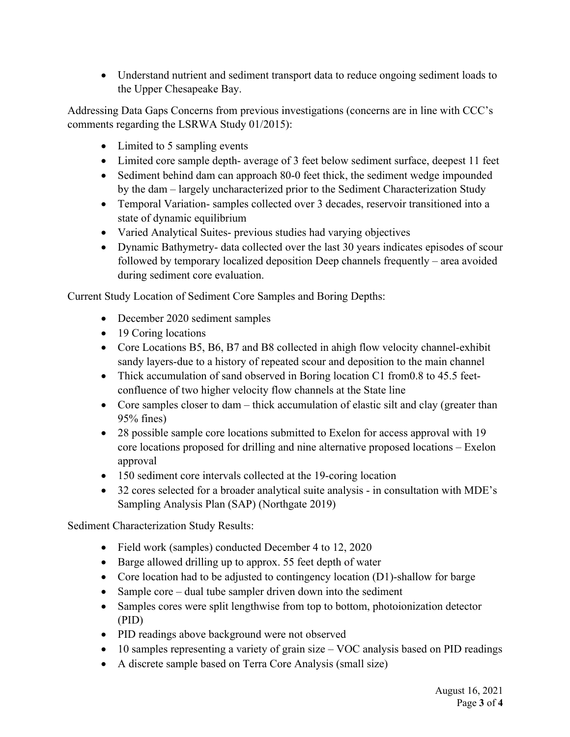• Understand nutrient and sediment transport data to reduce ongoing sediment loads to the Upper Chesapeake Bay.

Addressing Data Gaps Concerns from previous investigations (concerns are in line with CCC's comments regarding the LSRWA Study 01/2015):

- Limited to 5 sampling events
- Limited core sample depth- average of 3 feet below sediment surface, deepest 11 feet
- Sediment behind dam can approach 80-0 feet thick, the sediment wedge impounded by the dam – largely uncharacterized prior to the Sediment Characterization Study
- Temporal Variation- samples collected over 3 decades, reservoir transitioned into a state of dynamic equilibrium
- Varied Analytical Suites- previous studies had varying objectives
- Dynamic Bathymetry- data collected over the last 30 years indicates episodes of scour followed by temporary localized deposition Deep channels frequently – area avoided during sediment core evaluation.

Current Study Location of Sediment Core Samples and Boring Depths:

- December 2020 sediment samples
- 19 Coring locations
- Core Locations B5, B6, B7 and B8 collected in ahigh flow velocity channel-exhibit sandy layers-due to a history of repeated scour and deposition to the main channel
- Thick accumulation of sand observed in Boring location C1 from 0.8 to 45.5 feetconfluence of two higher velocity flow channels at the State line
- Core samples closer to dam thick accumulation of elastic silt and clay (greater than 95% fines)
- 28 possible sample core locations submitted to Exelon for access approval with 19 core locations proposed for drilling and nine alternative proposed locations – Exelon approval
- 150 sediment core intervals collected at the 19-coring location
- 32 cores selected for a broader analytical suite analysis in consultation with MDE's Sampling Analysis Plan (SAP) (Northgate 2019)

Sediment Characterization Study Results:

- Field work (samples) conducted December 4 to 12, 2020
- Barge allowed drilling up to approx. 55 feet depth of water
- Core location had to be adjusted to contingency location (D1)-shallow for barge
- Sample core dual tube sampler driven down into the sediment
- Samples cores were split lengthwise from top to bottom, photoionization detector (PID)
- PID readings above background were not observed
- 10 samples representing a variety of grain size VOC analysis based on PID readings
- A discrete sample based on Terra Core Analysis (small size)